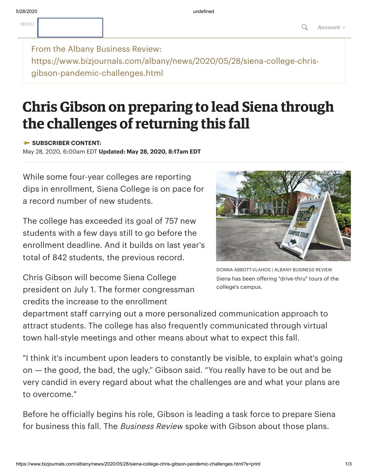From the Albany Business Review: https://www.bizjournals.com/albany/news/2020/05/28/siena-college-chrisgibson-pandemic-challenges.html

## **Chris Gibson on preparing to lead Siena through the challenges of returning this fall**

**SUBSCRIBER CONTENT:**

May 28, 2020, 6:00am EDT **Updated: May 28, 2020, 8:17am EDT**

While some four-year colleges are reporting dips in enrollment, Siena College is on pace for a record number of new students.

The college has exceeded its goal of 757 new students with a few days still to go before the enrollment deadline. And it builds on last year's total of 842 students, the previous record.

Chris [Gibson](https://www.bizjournals.com/albany/search/results?q=Chris%20Gibson) will become Siena College president on July 1. The former congressman credits the increase to the enrollment



DONNA ABBOTT-VLAHOS | ALBANY BUSINESS REVIEW Siena has been offering "drive-thru" tours of the college's campus.

department staff carrying out a more personalized communication approach to attract students. The college has also frequently communicated through virtual town hall-style meetings and other means about what to expect this fall.

"I think it's incumbent upon leaders to constantly be visible, to explain what's going on — the good, the bad, the ugly," Gibson said. "You really have to be out and be very candid in every regard about what the challenges are and what your plans are to overcome."

Before he officially begins his role, Gibson is leading a task force to prepare Siena for business this fall. The *Business Review* spoke with Gibson about those plans.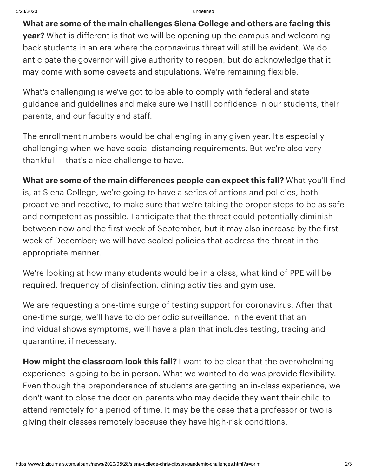**What are some of the main challenges Siena College and others are facing this year?** What is different is that we will be opening up the campus and welcoming back students in an era where the coronavirus threat will still be evident. We do anticipate the governor will give authority to reopen, but do acknowledge that it may come with some caveats and stipulations. We're remaining flexible.

What's challenging is we've got to be able to comply with federal and state guidance and guidelines and make sure we instill confidence in our students, their parents, and our faculty and staff.

The enrollment numbers would be challenging in any given year. It's especially challenging when we have social distancing requirements. But we're also very thankful — that's a nice challenge to have.

**What are some of the main differences people can expect this fall?** What you'll find is, at Siena College, we're going to have a series of actions and policies, both proactive and reactive, to make sure that we're taking the proper steps to be as safe and competent as possible. I anticipate that the threat could potentially diminish between now and the first week of September, but it may also increase by the first week of December; we will have scaled policies that address the threat in the appropriate manner.

We're looking at how many students would be in a class, what kind of PPE will be required, frequency of disinfection, dining activities and gym use.

We are requesting a one-time surge of testing support for coronavirus. After that one-time surge, we'll have to do periodic surveillance. In the event that an individual shows symptoms, we'll have a plan that includes testing, tracing and quarantine, if necessary.

**How might the classroom look this fall?** I want to be clear that the overwhelming experience is going to be in person. What we wanted to do was provide flexibility. Even though the preponderance of students are getting an in-class experience, we don't want to close the door on parents who may decide they want their child to attend remotely for a period of time. It may be the case that a professor or two is giving their classes remotely because they have high-risk conditions.